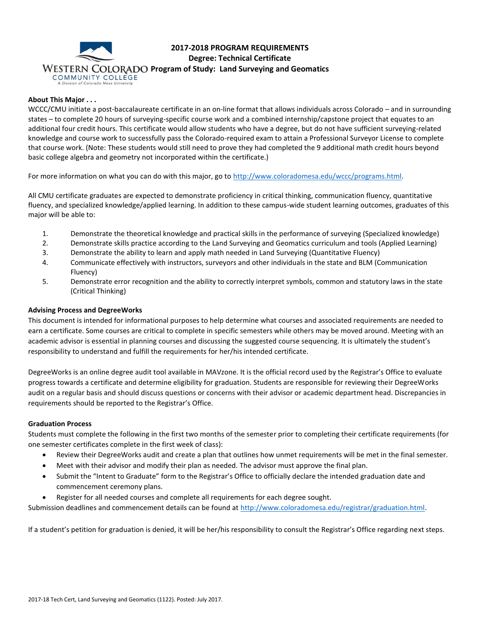

# **2017-2018 PROGRAM REQUIREMENTS Degree: Technical Certificate**

#### **About This Major . . .**

WCCC/CMU initiate a post-baccalaureate certificate in an on-line format that allows individuals across Colorado – and in surrounding states – to complete 20 hours of surveying-specific course work and a combined internship/capstone project that equates to an additional four credit hours. This certificate would allow students who have a degree, but do not have sufficient surveying-related knowledge and course work to successfully pass the Colorado-required exam to attain a Professional Surveyor License to complete that course work. (Note: These students would still need to prove they had completed the 9 additional math credit hours beyond basic college algebra and geometry not incorporated within the certificate.)

For more information on what you can do with this major, go to [http://www.coloradomesa.edu/wccc/programs.html.](http://www.coloradomesa.edu/wccc/programs.html)

All CMU certificate graduates are expected to demonstrate proficiency in critical thinking, communication fluency, quantitative fluency, and specialized knowledge/applied learning. In addition to these campus-wide student learning outcomes, graduates of this major will be able to:

- 1. Demonstrate the theoretical knowledge and practical skills in the performance of surveying (Specialized knowledge)
- 2. Demonstrate skills practice according to the Land Surveying and Geomatics curriculum and tools (Applied Learning)
- 3. Demonstrate the ability to learn and apply math needed in Land Surveying (Quantitative Fluency)
- 4. Communicate effectively with instructors, surveyors and other individuals in the state and BLM (Communication Fluency)
- 5. Demonstrate error recognition and the ability to correctly interpret symbols, common and statutory laws in the state (Critical Thinking)

#### **Advising Process and DegreeWorks**

This document is intended for informational purposes to help determine what courses and associated requirements are needed to earn a certificate. Some courses are critical to complete in specific semesters while others may be moved around. Meeting with an academic advisor is essential in planning courses and discussing the suggested course sequencing. It is ultimately the student's responsibility to understand and fulfill the requirements for her/his intended certificate.

DegreeWorks is an online degree audit tool available in MAVzone. It is the official record used by the Registrar's Office to evaluate progress towards a certificate and determine eligibility for graduation. Students are responsible for reviewing their DegreeWorks audit on a regular basis and should discuss questions or concerns with their advisor or academic department head. Discrepancies in requirements should be reported to the Registrar's Office.

#### **Graduation Process**

Students must complete the following in the first two months of the semester prior to completing their certificate requirements (for one semester certificates complete in the first week of class):

- Review their DegreeWorks audit and create a plan that outlines how unmet requirements will be met in the final semester.
- Meet with their advisor and modify their plan as needed. The advisor must approve the final plan.
- Submit the "Intent to Graduate" form to the Registrar's Office to officially declare the intended graduation date and commencement ceremony plans.
- Register for all needed courses and complete all requirements for each degree sought.

Submission deadlines and commencement details can be found at [http://www.coloradomesa.edu/registrar/graduation.html.](http://www.coloradomesa.edu/registrar/graduation.html)

If a student's petition for graduation is denied, it will be her/his responsibility to consult the Registrar's Office regarding next steps.